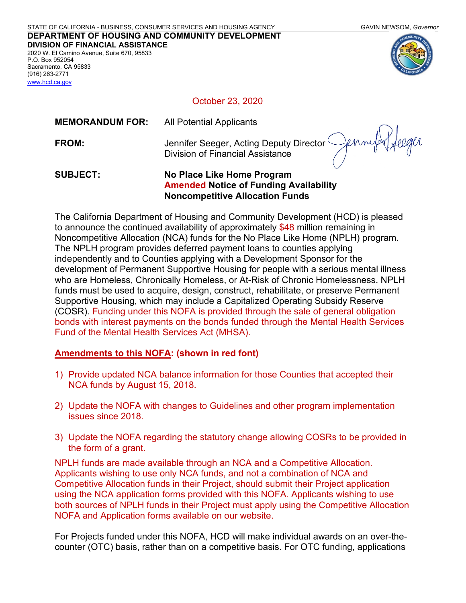[www.hcd.ca.gov](http://www.hcd.ca.gov/)



October 23, 2020

| <b>SUBJECT:</b>        | No Place Like Home Program                                                         |
|------------------------|------------------------------------------------------------------------------------|
| FROM:                  | Jennifer Seeger, Acting Deputy Director Cennus<br>Division of Financial Assistance |
| <b>MEMORANDUM FOR:</b> | All Potential Applicants                                                           |

# **Amended Notice of Funding Availability Noncompetitive Allocation Funds**

The California Department of Housing and Community Development (HCD) is pleased to announce the continued availability of approximately \$48 million remaining in Noncompetitive Allocation (NCA) funds for the No Place Like Home (NPLH) program. The NPLH program provides deferred payment loans to counties applying independently and to Counties applying with a Development Sponsor for the development of Permanent Supportive Housing for people with a serious mental illness who are Homeless, Chronically Homeless, or At-Risk of Chronic Homelessness. NPLH funds must be used to acquire, design, construct, rehabilitate, or preserve Permanent Supportive Housing, which may include a Capitalized Operating Subsidy Reserve (COSR). Funding under this NOFA is provided through the sale of general obligation bonds with interest payments on the bonds funded through the Mental Health Services Fund of the Mental Health Services Act (MHSA).

# **Amendments to this NOFA: (shown in red font)**

- 1) Provide updated NCA balance information for those Counties that accepted their NCA funds by August 15, 2018.
- 2) Update the NOFA with changes to Guidelines and other program implementation issues since 2018.
- 3) Update the NOFA regarding the statutory change allowing COSRs to be provided in the form of a grant.

NPLH funds are made available through an NCA and a Competitive Allocation. Applicants wishing to use only NCA funds, and not a combination of NCA and Competitive Allocation funds in their Project, should submit their Project application using the NCA application forms provided with this NOFA. Applicants wishing to use both sources of NPLH funds in their Project must apply using the Competitive Allocation NOFA and Application forms available on our website.

For Projects funded under this NOFA, HCD will make individual awards on an over-thecounter (OTC) basis, rather than on a competitive basis. For OTC funding, applications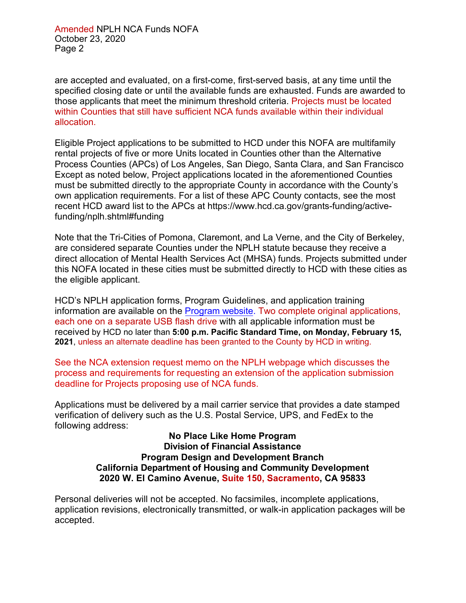are accepted and evaluated, on a first-come, first-served basis, at any time until the specified closing date or until the available funds are exhausted. Funds are awarded to those applicants that meet the minimum threshold criteria. Projects must be located within Counties that still have sufficient NCA funds available within their individual allocation.

Eligible Project applications to be submitted to HCD under this NOFA are multifamily rental projects of five or more Units located in Counties other than the Alternative Process Counties (APCs) of Los Angeles, San Diego, Santa Clara, and San Francisco Except as noted below, Project applications located in the aforementioned Counties must be submitted directly to the appropriate County in accordance with the County's own application requirements. For a list of these APC County contacts, see the most recent HCD award list to the APCs at [https://www.hcd.ca.gov/grants-funding/active](https://www.hcd.ca.gov/grants-funding/active-funding/nplh.shtml#funding)funding/nplh.shtml#funding

Note that the Tri-Cities of Pomona, Claremont, and La Verne, and the City of Berkeley, are considered separate Counties under the NPLH statute because they receive a direct allocation of Mental Health Services Act (MHSA) funds. Projects submitted under this NOFA located in these cities must be submitted directly to HCD with these cities as the eligible applicant.

HCD's NPLH application forms, Program Guidelines, and application training information are available on the [Program](http://www.hcd.ca.gov/grants-funding/active-funding/nplh.shtml) website. Two complete original applications, each one on a separate USB flash drive with all applicable information must be received by HCD no later than **5:00 p.m. Pacific Standard Time, on Monday, February 15, 2021**, unless an alternate deadline has been granted to the County by HCD in writing.

See the NCA extension request memo on the NPLH webpage which discusses the process and requirements for requesting an extension of the application submission deadline for Projects proposing use of NCA funds.

Applications must be delivered by a mail carrier service that provides a date stamped verification of delivery such as the U.S. Postal Service, UPS, and FedEx to the following address:

> **No Place Like Home Program Division of Financial Assistance Program Design and Development Branch California Department of Housing and Community Development 2020 W. El Camino Avenue, Suite 150, Sacramento, CA 95833**

Personal deliveries will not be accepted. No facsimiles, incomplete applications, application revisions, electronically transmitted, or walk-in application packages will be accepted.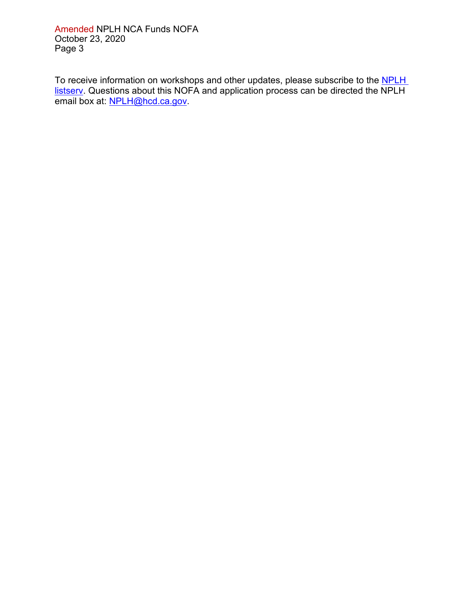Amended NPLH NCA Funds NOFA October 23, 2020 Page 3

To receive information on workshops and other updates, please subscribe to the NPLH [listserv.](https://www.hcd.ca.gov/HCD_SSI/subscribe-form.html) Questions about this NOFA and application process can be directed the NPLH email box at: [NPLH@hcd.ca.gov.](mailto:NPLH@hcd.ca.gov)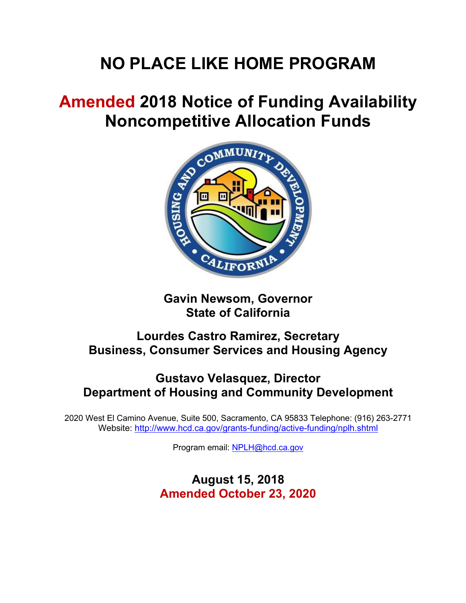# **NO PLACE LIKE HOME PROGRAM**

# **Amended 2018 Notice of Funding Availability Noncompetitive Allocation Funds**



**Gavin Newsom, Governor State of California**

# **Lourdes Castro Ramirez, Secretary Business, Consumer Services and Housing Agency**

# **Gustavo Velasquez, Director Department of Housing and Community Development**

2020 West El Camino Avenue, Suite 500, Sacramento, CA 95833 Telephone: (916) 263-2771 Website:<http://www.hcd.ca.gov/grants-funding/active-funding/nplh.shtml>

Program email: [NPLH@hcd.ca.gov](mailto:NPLH@hcd.ca.gov)

**August 15, 2018 Amended October 23, 2020**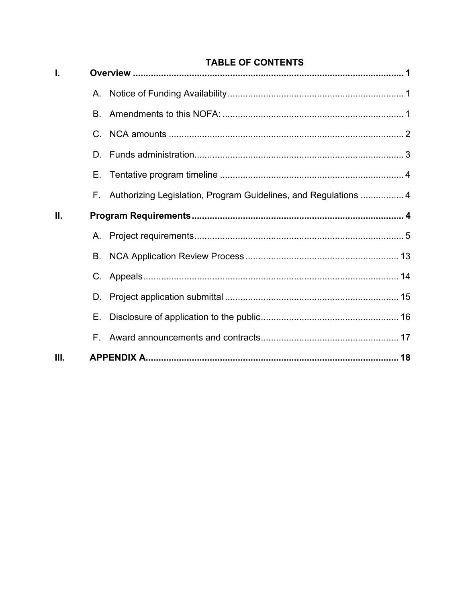|  | <b>TABLE OF CONTENTS</b> |
|--|--------------------------|
|  |                          |

| 1. |             |                                                                    |  |  |
|----|-------------|--------------------------------------------------------------------|--|--|
|    | $A_{\cdot}$ |                                                                    |  |  |
|    | В.          |                                                                    |  |  |
|    |             |                                                                    |  |  |
|    | D.          |                                                                    |  |  |
|    | Е.          |                                                                    |  |  |
|    |             | F. Authorizing Legislation, Program Guidelines, and Regulations  4 |  |  |
| Ш. |             |                                                                    |  |  |
|    |             |                                                                    |  |  |
|    | В.          |                                                                    |  |  |
|    |             |                                                                    |  |  |
|    | D.          |                                                                    |  |  |
|    | Е.          |                                                                    |  |  |
|    | F.,         |                                                                    |  |  |
| Ш. |             |                                                                    |  |  |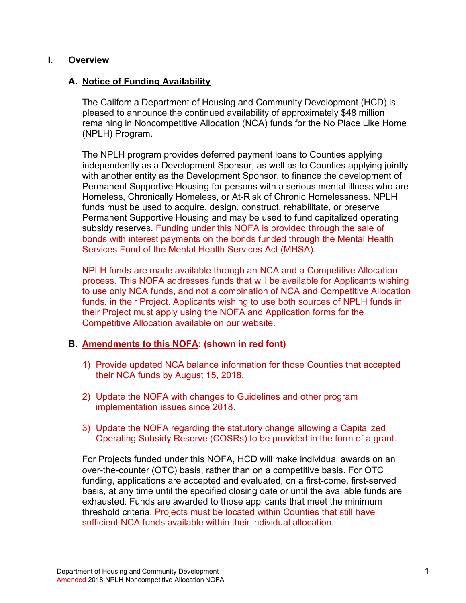#### <span id="page-5-0"></span>**I. Overview**

# <span id="page-5-1"></span>**A. Notice of Funding Availability**

The California Department of Housing and Community Development (HCD) is pleased to announce the continued availability of approximately \$48 million remaining in Noncompetitive Allocation (NCA) funds for the No Place Like Home (NPLH) Program.

The NPLH program provides deferred payment loans to Counties applying independently as a Development Sponsor, as well as to Counties applying jointly with another entity as the Development Sponsor, to finance the development of Permanent Supportive Housing for persons with a serious mental illness who are Homeless, Chronically Homeless, or At-Risk of Chronic Homelessness. NPLH funds must be used to acquire, design, construct, rehabilitate, or preserve Permanent Supportive Housing and may be used to fund capitalized operating subsidy reserves. Funding under this NOFA is provided through the sale of bonds with interest payments on the bonds funded through the Mental Health Services Fund of the Mental Health Services Act (MHSA).

NPLH funds are made available through an NCA and a Competitive Allocation process. This NOFA addresses funds that will be available for Applicants wishing to use only NCA funds, and not a combination of NCA and Competitive Allocation funds, in their Project. Applicants wishing to use both sources of NPLH funds in their Project must apply using the NOFA and Application forms for the Competitive Allocation available on our website.

# <span id="page-5-2"></span>**B. Amendments to this NOFA: (shown in red font)**

- 1) Provide updated NCA balance information for those Counties that accepted their NCA funds by August 15, 2018.
- 2) Update the NOFA with changes to Guidelines and other program implementation issues since 2018.
- 3) Update the NOFA regarding the statutory change allowing a Capitalized Operating Subsidy Reserve (COSRs) to be provided in the form of a grant.

For Projects funded under this NOFA, HCD will make individual awards on an over-the-counter (OTC) basis, rather than on a competitive basis. For OTC funding, applications are accepted and evaluated, on a first-come, first-served basis, at any time until the specified closing date or until the available funds are exhausted. Funds are awarded to those applicants that meet the minimum threshold criteria. Projects must be located within Counties that still have sufficient NCA funds available within their individual allocation.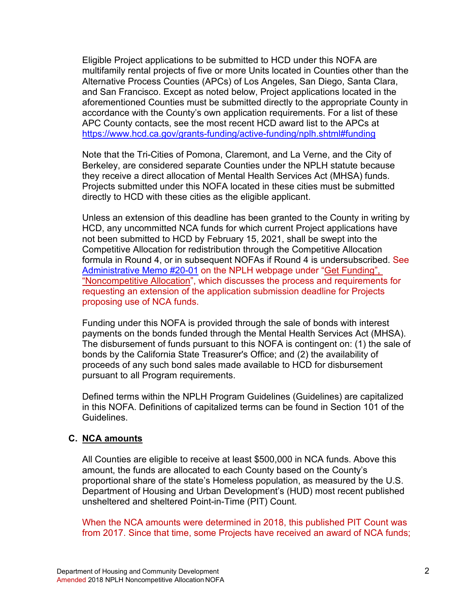Eligible Project applications to be submitted to HCD under this NOFA are multifamily rental projects of five or more Units located in Counties other than the Alternative Process Counties (APCs) of Los Angeles, San Diego, Santa Clara, and San Francisco. Except as noted below, Project applications located in the aforementioned Counties must be submitted directly to the appropriate County in accordance with the County's own application requirements. For a list of these APC County contacts, see the most recent HCD award list to the APCs at <https://www.hcd.ca.gov/grants-funding/active-funding/nplh.shtml#funding>

Note that the Tri-Cities of Pomona, Claremont, and La Verne, and the City of Berkeley, are considered separate Counties under the NPLH statute because they receive a direct allocation of Mental Health Services Act (MHSA) funds. Projects submitted under this NOFA located in these cities must be submitted directly to HCD with these cities as the eligible applicant.

Unless an extension of this deadline has been granted to the County in writing by HCD, any uncommitted NCA funds for which current Project applications have not been submitted to HCD by February 15, 2021, shall be swept into the Competitive Allocation for redistribution through the Competitive Allocation formula in Round 4, or in subsequent NOFAs if Round 4 is undersubscribed. See [Administrative Memo #20-01](https://www.hcd.ca.gov/grants-funding/active-funding/nplh/docs/2018-NPLH-Noncompetitive-Allocation-Funds-Memo.pdf) on the NPLH webpage under ["Get Funding",](https://www.hcd.ca.gov/grants-funding/active-funding/nplh.shtml#funding) "Noncompetitive Allocation", which discusses the process and requirements for requesting an extension of the application submission deadline for Projects proposing use of NCA funds.

Funding under this NOFA is provided through the sale of bonds with interest payments on the bonds funded through the Mental Health Services Act (MHSA). The disbursement of funds pursuant to this NOFA is contingent on: (1) the sale of bonds by the California State Treasurer's Office; and (2) the availability of proceeds of any such bond sales made available to HCD for disbursement pursuant to all Program requirements.

Defined terms within the NPLH Program Guidelines (Guidelines) are capitalized in this NOFA. Definitions of capitalized terms can be found in Section 101 of the Guidelines.

#### <span id="page-6-0"></span>**C. NCA amounts**

All Counties are eligible to receive at least \$500,000 in NCA funds. Above this amount, the funds are allocated to each County based on the County's proportional share of the state's Homeless population, as measured by the U.S. Department of Housing and Urban Development's (HUD) most recent published unsheltered and sheltered Point-in-Time (PIT) Count.

When the NCA amounts were determined in 2018, this published PIT Count was from 2017. Since that time, some Projects have received an award of NCA funds;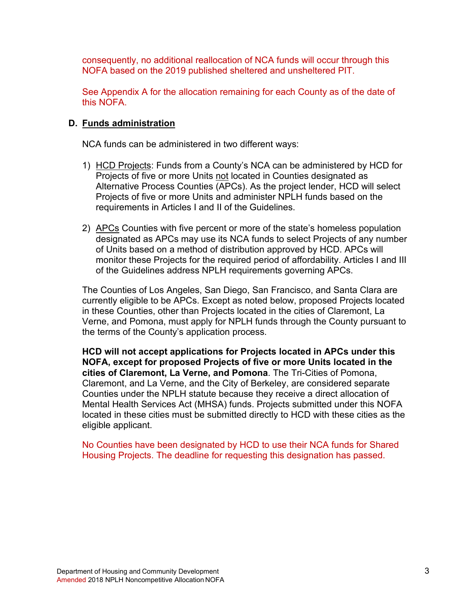consequently, no additional reallocation of NCA funds will occur through this NOFA based on the 2019 published sheltered and unsheltered PIT.

See Appendix A for the allocation remaining for each County as of the date of this NOFA.

#### <span id="page-7-0"></span>**D. Funds administration**

NCA funds can be administered in two different ways:

- 1) HCD Projects: Funds from a County's NCA can be administered by HCD for Projects of five or more Units not located in Counties designated as Alternative Process Counties (APCs). As the project lender, HCD will select Projects of five or more Units and administer NPLH funds based on the requirements in Articles I and II of the Guidelines.
- 2) APCs Counties with five percent or more of the state's homeless population designated as APCs may use its NCA funds to select Projects of any number of Units based on a method of distribution approved by HCD. APCs will monitor these Projects for the required period of affordability. Articles I and III of the Guidelines address NPLH requirements governing APCs.

The Counties of Los Angeles, San Diego, San Francisco, and Santa Clara are currently eligible to be APCs. Except as noted below, proposed Projects located in these Counties, other than Projects located in the cities of Claremont, La Verne, and Pomona, must apply for NPLH funds through the County pursuant to the terms of the County's application process.

**HCD will not accept applications for Projects located in APCs under this NOFA, except for proposed Projects of five or more Units located in the cities of Claremont, La Verne, and Pomona**. The Tri-Cities of Pomona, Claremont, and La Verne, and the City of Berkeley, are considered separate Counties under the NPLH statute because they receive a direct allocation of Mental Health Services Act (MHSA) funds. Projects submitted under this NOFA located in these cities must be submitted directly to HCD with these cities as the eligible applicant.

No Counties have been designated by HCD to use their NCA funds for Shared Housing Projects. The deadline for requesting this designation has passed.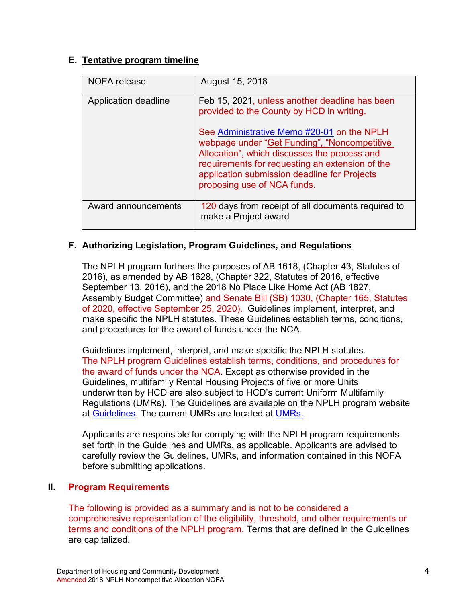# <span id="page-8-0"></span>**E. Tentative program timeline**

| NOFA release         | August 15, 2018                                                                                                                                                                                                                                                                                                                                                             |
|----------------------|-----------------------------------------------------------------------------------------------------------------------------------------------------------------------------------------------------------------------------------------------------------------------------------------------------------------------------------------------------------------------------|
| Application deadline | Feb 15, 2021, unless another deadline has been<br>provided to the County by HCD in writing.<br>See Administrative Memo #20-01 on the NPLH<br>webpage under "Get Funding", "Noncompetitive<br>Allocation", which discusses the process and<br>requirements for requesting an extension of the<br>application submission deadline for Projects<br>proposing use of NCA funds. |
| Award announcements  | 120 days from receipt of all documents required to<br>make a Project award                                                                                                                                                                                                                                                                                                  |

# <span id="page-8-1"></span>**F. Authorizing Legislation, Program Guidelines, and Regulations**

The NPLH program furthers the purposes of AB 1618, (Chapter 43, Statutes of 2016), as amended by AB 1628, (Chapter 322, Statutes of 2016, effective September 13, 2016), and the 2018 No Place Like Home Act (AB 1827, Assembly Budget Committee) and Senate Bill (SB) 1030, (Chapter 165, Statutes of 2020, effective September 25, 2020). Guidelines implement, interpret, and make specific the NPLH statutes. These Guidelines establish terms, conditions, and procedures for the award of funds under the NCA.

Guidelines implement, interpret, and make specific the NPLH statutes. The NPLH program Guidelines establish terms, conditions, and procedures for the award of funds under the NCA. Except as otherwise provided in the Guidelines, multifamily Rental Housing Projects of five or more Units underwritten by HCD are also subject to HCD's current Uniform Multifamily Regulations (UMRs). The Guidelines are available on the NPLH program website at [Guidelines.](http://www.hcd.ca.gov/grants-funding/active-funding/nplh.shtml) The current UMRs are located at [UMRs.](http://www.hcd.ca.gov/grants-funding/already-have-funding/uniform-multifamily-regulations.shtml)

Applicants are responsible for complying with the NPLH program requirements set forth in the Guidelines and UMRs, as applicable. Applicants are advised to carefully review the Guidelines, UMRs, and information contained in this NOFA before submitting applications.

#### <span id="page-8-2"></span>**II. Program Requirements**

The following is provided as a summary and is not to be considered a comprehensive representation of the eligibility, threshold, and other requirements or terms and conditions of the NPLH program. Terms that are defined in the Guidelines are capitalized.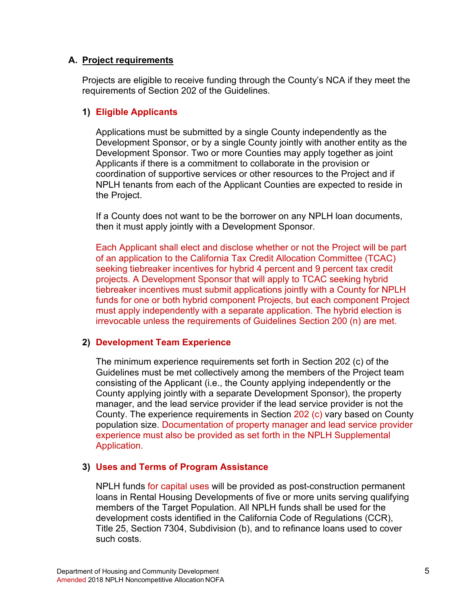#### <span id="page-9-0"></span>**A. Project requirements**

Projects are eligible to receive funding through the County's NCA if they meet the requirements of Section 202 of the Guidelines.

## **1) Eligible Applicants**

Applications must be submitted by a single County independently as the Development Sponsor, or by a single County jointly with another entity as the Development Sponsor. Two or more Counties may apply together as joint Applicants if there is a commitment to collaborate in the provision or coordination of supportive services or other resources to the Project and if NPLH tenants from each of the Applicant Counties are expected to reside in the Project.

If a County does not want to be the borrower on any NPLH loan documents, then it must apply jointly with a Development Sponsor.

Each Applicant shall elect and disclose whether or not the Project will be part of an application to the California Tax Credit Allocation Committee (TCAC) seeking tiebreaker incentives for hybrid 4 percent and 9 percent tax credit projects. A Development Sponsor that will apply to TCAC seeking hybrid tiebreaker incentives must submit applications jointly with a County for NPLH funds for one or both hybrid component Projects, but each component Project must apply independently with a separate application. The hybrid election is irrevocable unless the requirements of Guidelines Section 200 (n) are met.

#### **2) Development Team Experience**

The minimum experience requirements set forth in Section 202 (c) of the Guidelines must be met collectively among the members of the Project team consisting of the Applicant (i.e., the County applying independently or the County applying jointly with a separate Development Sponsor), the property manager, and the lead service provider if the lead service provider is not the County. The experience requirements in Section 202 (c) vary based on County population size. Documentation of property manager and lead service provider experience must also be provided as set forth in the NPLH Supplemental Application.

# **3) Uses and Terms of Program Assistance**

NPLH funds for capital uses will be provided as post-construction permanent loans in Rental Housing Developments of five or more units serving qualifying members of the Target Population. All NPLH funds shall be used for the development costs identified in the California Code of Regulations (CCR), Title 25, Section 7304, Subdivision (b), and to refinance loans used to cover such costs.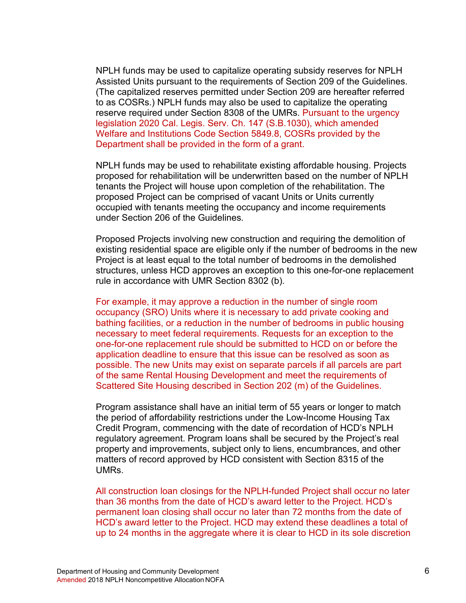NPLH funds may be used to capitalize operating subsidy reserves for NPLH Assisted Units pursuant to the requirements of Section 209 of the Guidelines. (The capitalized reserves permitted under Section 209 are hereafter referred to as COSRs.) NPLH funds may also be used to capitalize the operating reserve required under Section 8308 of the UMRs. Pursuant to the urgency legislation 2020 Cal. Legis. Serv. Ch. 147 (S.B.1030), which amended Welfare and Institutions Code Section 5849.8, COSRs provided by the Department shall be provided in the form of a grant.

NPLH funds may be used to rehabilitate existing affordable housing. Projects proposed for rehabilitation will be underwritten based on the number of NPLH tenants the Project will house upon completion of the rehabilitation. The proposed Project can be comprised of vacant Units or Units currently occupied with tenants meeting the occupancy and income requirements under Section 206 of the Guidelines.

Proposed Projects involving new construction and requiring the demolition of existing residential space are eligible only if the number of bedrooms in the new Project is at least equal to the total number of bedrooms in the demolished structures, unless HCD approves an exception to this one-for-one replacement rule in accordance with UMR Section 8302 (b).

For example, it may approve a reduction in the number of single room occupancy (SRO) Units where it is necessary to add private cooking and bathing facilities, or a reduction in the number of bedrooms in public housing necessary to meet federal requirements. Requests for an exception to the one-for-one replacement rule should be submitted to HCD on or before the application deadline to ensure that this issue can be resolved as soon as possible. The new Units may exist on separate parcels if all parcels are part of the same Rental Housing Development and meet the requirements of Scattered Site Housing described in Section 202 (m) of the Guidelines.

Program assistance shall have an initial term of 55 years or longer to match the period of affordability restrictions under the Low-Income Housing Tax Credit Program, commencing with the date of recordation of HCD's NPLH regulatory agreement. Program loans shall be secured by the Project's real property and improvements, subject only to liens, encumbrances, and other matters of record approved by HCD consistent with Section 8315 of the UMRs.

All construction loan closings for the NPLH-funded Project shall occur no later than 36 months from the date of HCD's award letter to the Project. HCD's permanent loan closing shall occur no later than 72 months from the date of HCD's award letter to the Project. HCD may extend these deadlines a total of up to 24 months in the aggregate where it is clear to HCD in its sole discretion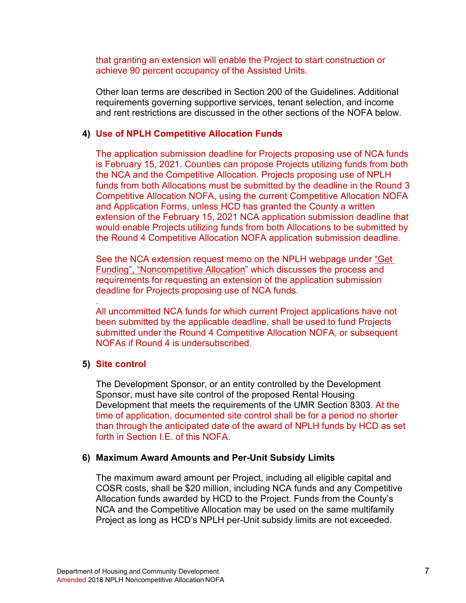that granting an extension will enable the Project to start construction or achieve 90 percent occupancy of the Assisted Units.

Other loan terms are described in Section 200 of the Guidelines. Additional requirements governing supportive services, tenant selection, and income and rent restrictions are discussed in the other sections of the NOFA below.

#### **4) Use of NPLH Competitive Allocation Funds**

The application submission deadline for Projects proposing use of NCA funds is February 15, 2021. Counties can propose Projects utilizing funds from both the NCA and the Competitive Allocation. Projects proposing use of NPLH funds from both Allocations must be submitted by the deadline in the Round 3 Competitive Allocation NOFA, using the current Competitive Allocation NOFA and Application Forms, unless HCD has granted the County a written extension of the February 15, 2021 NCA application submission deadline that would enable Projects utilizing funds from both Allocations to be submitted by the Round 4 Competitive Allocation NOFA application submission deadline.

See the NCA extension request memo on the NPLH webpage under ["Get](https://www.hcd.ca.gov/grants-funding/active-funding/nplh.shtml#funding)  Funding", "Noncompetitive Allocation" which discusses the process and requirements for requesting an extension of the application submission deadline for Projects proposing use of NCA funds.

. All uncommitted NCA funds for which current Project applications have not been submitted by the applicable deadline, shall be used to fund Projects submitted under the Round 4 Competitive Allocation NOFA, or subsequent NOFAs if Round 4 is undersubscribed.

#### **5) Site control**

The Development Sponsor, or an entity controlled by the Development Sponsor, must have site control of the proposed Rental Housing Development that meets the requirements of the UMR Section 8303. At the time of application, documented site control shall be for a period no shorter than through the anticipated date of the award of NPLH funds by HCD as set forth in Section I.E. of this NOFA.

#### **6) Maximum Award Amounts and Per-Unit Subsidy Limits**

The maximum award amount per Project, including all eligible capital and COSR costs, shall be \$20 million, including NCA funds and any Competitive Allocation funds awarded by HCD to the Project. Funds from the County's NCA and the Competitive Allocation may be used on the same multifamily Project as long as HCD's NPLH per-Unit subsidy limits are not exceeded.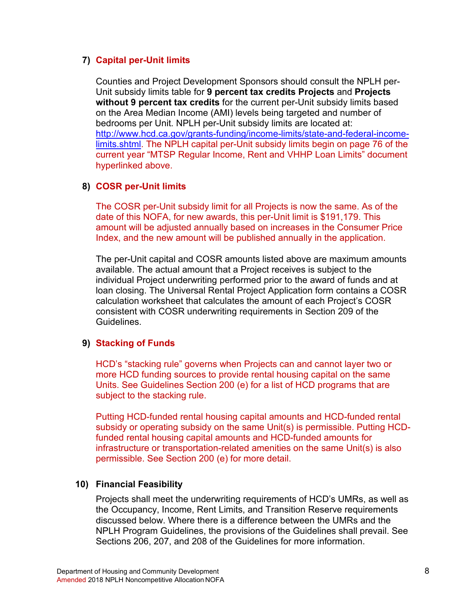#### **7) Capital per-Unit limits**

Counties and Project Development Sponsors should consult the NPLH per-Unit subsidy limits table for **9 percent tax credits Projects** and **Projects without 9 percent tax credits** for the current per-Unit subsidy limits based on the Area Median Income (AMI) levels being targeted and number of bedrooms per Unit. NPLH per-Unit subsidy limits are located at: [http://www.hcd.ca.gov/grants-funding/income-limits/state-and-federal-income](http://www.hcd.ca.gov/grants-funding/income-limits/state-and-federal-income-limits.shtml)limits.shtm[l.](http://www.hcd.ca.gov/grants-funding/docs/2018MTSPRegularLimits.pdf) The NPLH capital per-Unit subsidy limits begin on page 76 of the current year "MTSP Regular Income, Rent and VHHP Loan Limits" document hyperlinked above.

## **8) COSR per-Unit limits**

The COSR per-Unit subsidy limit for all Projects is now the same. As of the date of this NOFA, for new awards, this per-Unit limit is \$191,179. This amount will be adjusted annually based on increases in the Consumer Price Index, and the new amount will be published annually in the application.

The per-Unit capital and COSR amounts listed above are maximum amounts available. The actual amount that a Project receives is subject to the individual Project underwriting performed prior to the award of funds and at loan closing. The Universal Rental Project Application form contains a COSR calculation worksheet that calculates the amount of each Project's COSR consistent with COSR underwriting requirements in Section 209 of the Guidelines.

#### **9) Stacking of Funds**

HCD's "stacking rule" governs when Projects can and cannot layer two or more HCD funding sources to provide rental housing capital on the same Units. See Guidelines Section 200 (e) for a list of HCD programs that are subject to the stacking rule.

Putting HCD-funded rental housing capital amounts and HCD-funded rental subsidy or operating subsidy on the same Unit(s) is permissible. Putting HCDfunded rental housing capital amounts and HCD-funded amounts for infrastructure or transportation-related amenities on the same Unit(s) is also permissible. See Section 200 (e) for more detail.

#### **10) Financial Feasibility**

Projects shall meet the underwriting requirements of HCD's UMRs, as well as the Occupancy, Income, Rent Limits, and Transition Reserve requirements discussed below. Where there is a difference between the UMRs and the NPLH Program Guidelines, the provisions of the Guidelines shall prevail. See Sections 206, 207, and 208 of the Guidelines for more information.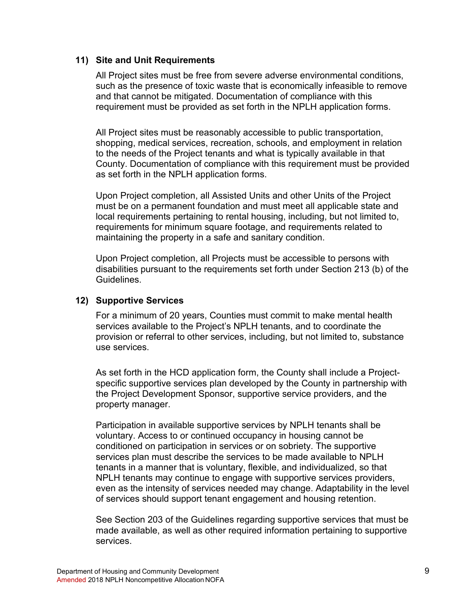#### **11) Site and Unit Requirements**

All Project sites must be free from severe adverse environmental conditions, such as the presence of toxic waste that is economically infeasible to remove and that cannot be mitigated. Documentation of compliance with this requirement must be provided as set forth in the NPLH application forms.

All Project sites must be reasonably accessible to public transportation, shopping, medical services, recreation, schools, and employment in relation to the needs of the Project tenants and what is typically available in that County. Documentation of compliance with this requirement must be provided as set forth in the NPLH application forms.

Upon Project completion, all Assisted Units and other Units of the Project must be on a permanent foundation and must meet all applicable state and local requirements pertaining to rental housing, including, but not limited to, requirements for minimum square footage, and requirements related to maintaining the property in a safe and sanitary condition.

Upon Project completion, all Projects must be accessible to persons with disabilities pursuant to the requirements set forth under Section 213 (b) of the Guidelines.

## **12) Supportive Services**

For a minimum of 20 years, Counties must commit to make mental health services available to the Project's NPLH tenants, and to coordinate the provision or referral to other services, including, but not limited to, substance use services.

As set forth in the HCD application form, the County shall include a Projectspecific supportive services plan developed by the County in partnership with the Project Development Sponsor, supportive service providers, and the property manager.

Participation in available supportive services by NPLH tenants shall be voluntary. Access to or continued occupancy in housing cannot be conditioned on participation in services or on sobriety. The supportive services plan must describe the services to be made available to NPLH tenants in a manner that is voluntary, flexible, and individualized, so that NPLH tenants may continue to engage with supportive services providers, even as the intensity of services needed may change. Adaptability in the level of services should support tenant engagement and housing retention.

See Section 203 of the Guidelines regarding supportive services that must be made available, as well as other required information pertaining to supportive services.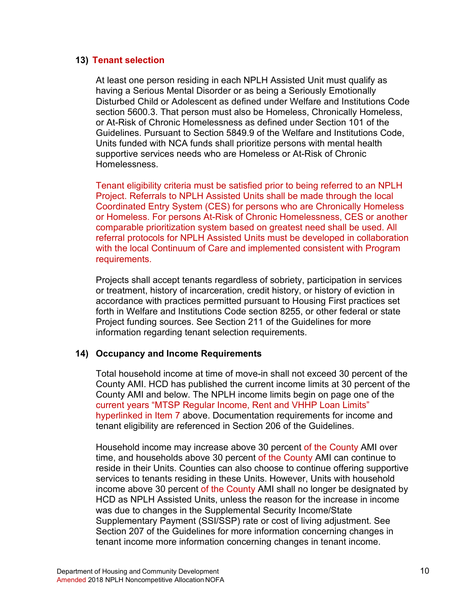#### **13) Tenant selection**

At least one person residing in each NPLH Assisted Unit must qualify as having a Serious Mental Disorder or as being a Seriously Emotionally Disturbed Child or Adolescent as defined under Welfare and Institutions Code section 5600.3. That person must also be Homeless, Chronically Homeless, or At-Risk of Chronic Homelessness as defined under Section 101 of the Guidelines. Pursuant to Section 5849.9 of the Welfare and Institutions Code, Units funded with NCA funds shall prioritize persons with mental health supportive services needs who are Homeless or At-Risk of Chronic Homelessness.

Tenant eligibility criteria must be satisfied prior to being referred to an NPLH Project. Referrals to NPLH Assisted Units shall be made through the local Coordinated Entry System (CES) for persons who are Chronically Homeless or Homeless. For persons At-Risk of Chronic Homelessness, CES or another comparable prioritization system based on greatest need shall be used. All referral protocols for NPLH Assisted Units must be developed in collaboration with the local Continuum of Care and implemented consistent with Program requirements.

Projects shall accept tenants regardless of sobriety, participation in services or treatment, history of incarceration, credit history, or history of eviction in accordance with practices permitted pursuant to Housing First practices set forth in Welfare and Institutions Code section 8255, or other federal or state Project funding sources. See Section 211 of the Guidelines for more information regarding tenant selection requirements.

#### **14) Occupancy and Income Requirements**

Total household income at time of move-in shall not exceed 30 percent of the County AMI. HCD has published the [current income limits](https://www.hcd.ca.gov/grants-funding/docs/2020MTSPRegularLimits.pdf) [a](http://www.hcd.ca.gov/grants-funding/docs/2018MTSPRegularLimits.pdf)t 30 percent of the County AMI and below. The NPLH income limits begin on page one of the current years "MTSP Regular Income, Rent and VHHP Loan Limits" hyperlinked in Item 7 above. Documentation requirements for income and tenant eligibility are referenced in Section 206 of the Guidelines.

Household income may increase above 30 percent of the County AMI over time, and households above 30 percent of the County AMI can continue to reside in their Units. Counties can also choose to continue offering supportive services to tenants residing in these Units. However, Units with household income above 30 percent of the County AMI shall no longer be designated by HCD as NPLH Assisted Units, unless the reason for the increase in income was due to changes in the Supplemental Security Income/State Supplementary Payment (SSI/SSP) rate or cost of living adjustment. See Section 207 of the Guidelines for more information concerning changes in tenant income more information concerning changes in tenant income.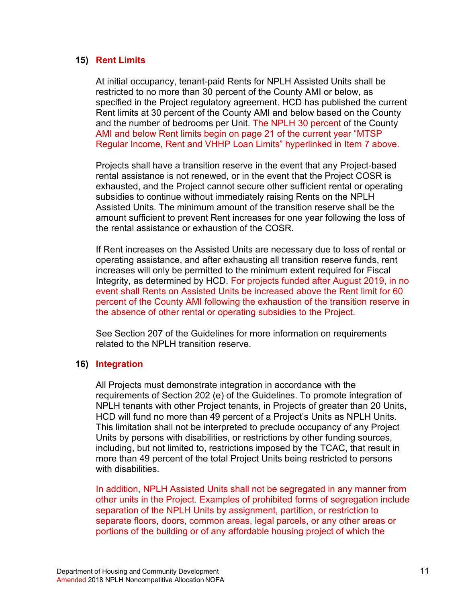#### **15) Rent Limits**

At initial occupancy, tenant-paid Rents for NPLH Assisted Units shall be restricted to no more than 30 percent of the County AMI or below, as specified in the Project regulatory agreement. HCD has published the [current](https://www.hcd.ca.gov/grants-funding/docs/2020MTSPRegularLimits.pdf)  [Rent limits](https://www.hcd.ca.gov/grants-funding/docs/2020MTSPRegularLimits.pdf) at 30 percent of the County AMI and below based on the County and the number of bedrooms per Unit. The NPLH 30 percent of the County AMI and below Rent limits begin on page 21 of the current year "MTSP Regular Income, Rent and VHHP Loan Limits" hyperlinked in Item 7 above.

Projects shall have a transition reserve in the event that any Project-based rental assistance is not renewed, or in the event that the Project COSR is exhausted, and the Project cannot secure other sufficient rental or operating subsidies to continue without immediately raising Rents on the NPLH Assisted Units. The minimum amount of the transition reserve shall be the amount sufficient to prevent Rent increases for one year following the loss of the rental assistance or exhaustion of the COSR.

If Rent increases on the Assisted Units are necessary due to loss of rental or operating assistance, and after exhausting all transition reserve funds, rent increases will only be permitted to the minimum extent required for Fiscal Integrity, as determined by HCD. For projects funded after August 2019, in no event shall Rents on Assisted Units be increased above the Rent limit for 60 percent of the County AMI following the exhaustion of the transition reserve in the absence of other rental or operating subsidies to the Project.

See Section 207 of the Guidelines for more information on requirements related to the NPLH transition reserve.

#### **16) Integration**

All Projects must demonstrate integration in accordance with the requirements of Section 202 (e) of the Guidelines. To promote integration of NPLH tenants with other Project tenants, in Projects of greater than 20 Units, HCD will fund no more than 49 percent of a Project's Units as NPLH Units. This limitation shall not be interpreted to preclude occupancy of any Project Units by persons with disabilities, or restrictions by other funding sources, including, but not limited to, restrictions imposed by the TCAC, that result in more than 49 percent of the total Project Units being restricted to persons with disabilities.

In addition, NPLH Assisted Units shall not be segregated in any manner from other units in the Project. Examples of prohibited forms of segregation include separation of the NPLH Units by assignment, partition, or restriction to separate floors, doors, common areas, legal parcels, or any other areas or portions of the building or of any affordable housing project of which the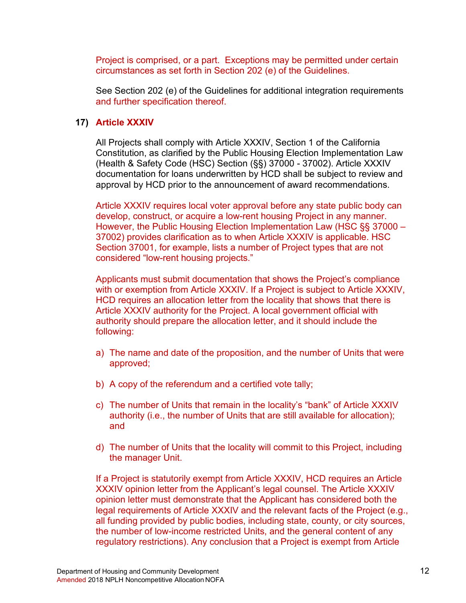Project is comprised, or a part. Exceptions may be permitted under certain circumstances as set forth in Section 202 (e) of the Guidelines.

See Section 202 (e) of the Guidelines for additional integration requirements and further specification thereof.

#### **17) Article XXXIV**

All Projects shall comply with Article XXXIV, Section 1 of the California Constitution, as clarified by the Public Housing Election Implementation Law (Health & Safety Code (HSC) Section (§§) 37000 - 37002). Article XXXIV documentation for loans underwritten by HCD shall be subject to review and approval by HCD prior to the announcement of award recommendations.

Article XXXIV requires local voter approval before any state public body can develop, construct, or acquire a low-rent housing Project in any manner. However, the Public Housing Election Implementation Law (HSC §§ 37000 – 37002) provides clarification as to when Article XXXIV is applicable. HSC Section 37001, for example, lists a number of Project types that are not considered "low-rent housing projects."

Applicants must submit documentation that shows the Project's compliance with or exemption from Article XXXIV. If a Project is subject to Article XXXIV, HCD requires an allocation letter from the locality that shows that there is Article XXXIV authority for the Project. A local government official with authority should prepare the allocation letter, and it should include the following:

- a) The name and date of the proposition, and the number of Units that were approved;
- b) A copy of the referendum and a certified vote tally;
- c) The number of Units that remain in the locality's "bank" of Article XXXIV authority (i.e., the number of Units that are still available for allocation); and
- d) The number of Units that the locality will commit to this Project, including the manager Unit.

If a Project is statutorily exempt from Article XXXIV, HCD requires an Article XXXIV opinion letter from the Applicant's legal counsel. The Article XXXIV opinion letter must demonstrate that the Applicant has considered both the legal requirements of Article XXXIV and the relevant facts of the Project (e.g., all funding provided by public bodies, including state, county, or city sources, the number of low-income restricted Units, and the general content of any regulatory restrictions). Any conclusion that a Project is exempt from Article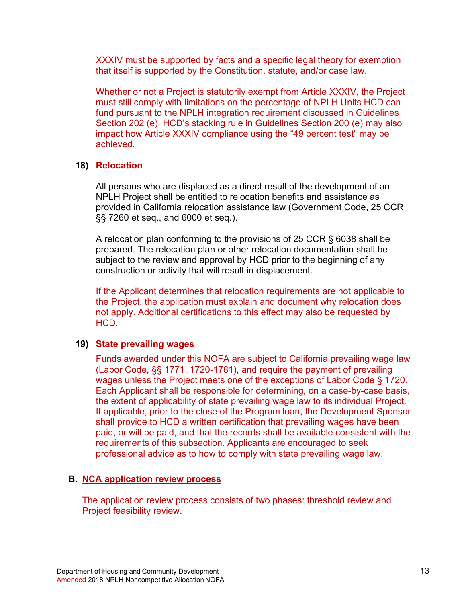XXXIV must be supported by facts and a specific legal theory for exemption that itself is supported by the Constitution, statute, and/or case law.

Whether or not a Project is statutorily exempt from Article XXXIV, the Project must still comply with limitations on the percentage of NPLH Units HCD can fund pursuant to the NPLH integration requirement discussed in Guidelines Section 202 (e). HCD's stacking rule in Guidelines Section 200 (e) may also impact how Article XXXIV compliance using the "49 percent test" may be achieved.

#### **18) Relocation**

All persons who are displaced as a direct result of the development of an NPLH Project shall be entitled to relocation benefits and assistance as provided in California relocation assistance law (Government Code, 25 CCR §§ 7260 et seq., and 6000 et seq.).

A relocation plan conforming to the provisions of 25 CCR § 6038 shall be prepared. The relocation plan or other relocation documentation shall be subject to the review and approval by HCD prior to the beginning of any construction or activity that will result in displacement.

If the Applicant determines that relocation requirements are not applicable to the Project, the application must explain and document why relocation does not apply. Additional certifications to this effect may also be requested by HCD.

#### **19) State prevailing wages**

Funds awarded under this NOFA are subject to California prevailing wage law (Labor Code, §§ 1771, 1720-1781), and require the payment of prevailing wages unless the Project meets one of the exceptions of Labor Code § 1720. Each Applicant shall be responsible for determining, on a case-by-case basis, the extent of applicability of state prevailing wage law to its individual Project. If applicable, prior to the close of the Program loan, the Development Sponsor shall provide to HCD a written certification that prevailing wages have been paid, or will be paid, and that the records shall be available consistent with the requirements of this subsection. Applicants are encouraged to seek professional advice as to how to comply with state prevailing wage law.

#### <span id="page-17-0"></span>**B. NCA application review process**

The application review process consists of two phases: threshold review and Project feasibility review.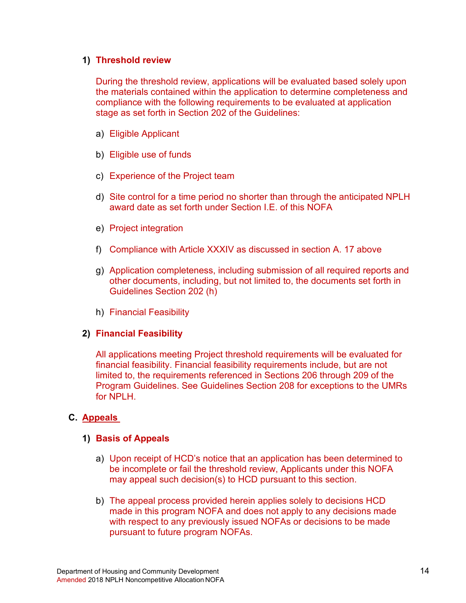#### **1) Threshold review**

During the threshold review, applications will be evaluated based solely upon the materials contained within the application to determine completeness and compliance with the following requirements to be evaluated at application stage as set forth in Section 202 of the Guidelines:

- a) Eligible Applicant
- b) Eligible use of funds
- c) Experience of the Project team
- d) Site control for a time period no shorter than through the anticipated NPLH award date as set forth under Section I.E. of this NOFA
- e) Project integration
- f) Compliance with Article XXXIV as discussed in section A. 17 above
- g) Application completeness, including submission of all required reports and other documents, including, but not limited to, the documents set forth in Guidelines Section 202 (h)
- h) Financial Feasibility

# **2) Financial Feasibility**

All applications meeting Project threshold requirements will be evaluated for financial feasibility. Financial feasibility requirements include, but are not limited to, the requirements referenced in Sections 206 through 209 of the Program Guidelines. See Guidelines Section 208 for exceptions to the UMRs for NPLH.

# <span id="page-18-0"></span>**C. Appeals**

#### **1) Basis of Appeals**

- a) Upon receipt of HCD's notice that an application has been determined to be incomplete or fail the threshold review, Applicants under this NOFA may appeal such decision(s) to HCD pursuant to this section.
- b) The appeal process provided herein applies solely to decisions HCD made in this program NOFA and does not apply to any decisions made with respect to any previously issued NOFAs or decisions to be made pursuant to future program NOFAs.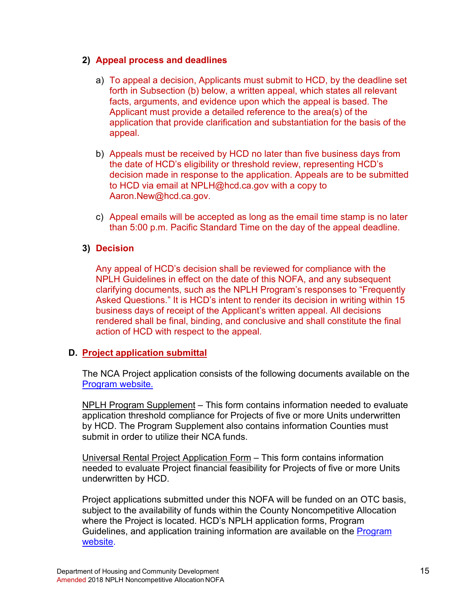## **2) Appeal process and deadlines**

- a) To appeal a decision, Applicants must submit to HCD, by the deadline set forth in Subsection (b) below, a written appeal, which states all relevant facts, arguments, and evidence upon which the appeal is based. The Applicant must provide a detailed reference to the area(s) of the application that provide clarification and substantiation for the basis of the appeal.
- b) Appeals must be received by HCD no later than five business days from the date of HCD's eligibility or threshold review, representing HCD's decision made in response to the application. Appeals are to be submitted to HCD via email at [NPLH@hcd.ca.gov](mailto:NPLH@hcd.ca.gov) with a copy to Aaron.New@hcd.ca.gov.
- c) Appeal emails will be accepted as long as the email time stamp is no later than 5:00 p.m. Pacific Standard Time on the day of the appeal deadline.

# **3) Decision**

Any appeal of HCD's decision shall be reviewed for compliance with the NPLH Guidelines in effect on the date of this NOFA, and any subsequent clarifying documents, such as the NPLH Program's responses to "Frequently Asked Questions." It is HCD's intent to render its decision in writing within 15 business days of receipt of the Applicant's written appeal. All decisions rendered shall be final, binding, and conclusive and shall constitute the final action of HCD with respect to the appeal.

# <span id="page-19-0"></span>**D. Project application submittal**

The NCA Project application consists of the following documents available on the [Program website.](http://www.hcd.ca.gov/grants-funding/active-funding/nplh.shtml)

NPLH Program Supplement – This form contains information needed to evaluate application threshold compliance for Projects of five or more Units underwritten by HCD. The Program Supplement also contains information Counties must submit in order to utilize their NCA funds.

Universal Rental Project Application Form – This form contains information needed to evaluate Project financial feasibility for Projects of five or more Units underwritten by HCD.

Project applications submitted under this NOFA will be funded on an OTC basis, subject to the availability of funds within the County Noncompetitive Allocation where the Project is located. HCD's NPLH application forms, Program Guidelines, and application training information are available on the **Program** website.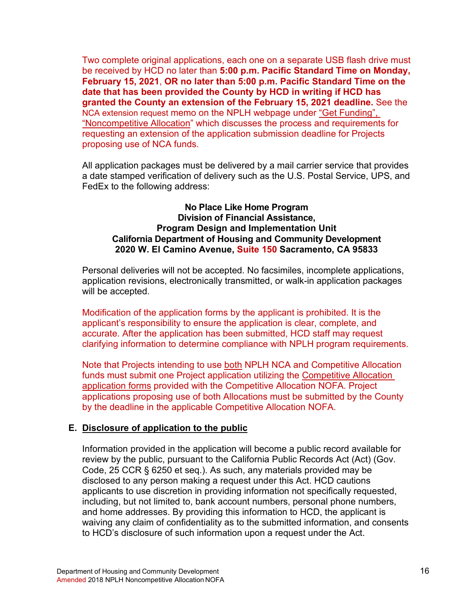Two complete original applications, each one on a separate USB flash drive must be received by HCD no later than **5:00 p.m. Pacific Standard Time on Monday, February 15, 2021**, **OR no later than 5:00 p.m. Pacific Standard Time on the date that has been provided the County by HCD in writing if HCD has granted the County an extension of the February 15, 2021 deadline.** See the NCA extension request memo on the NPLH webpage under "Get Funding", "Noncompetitive Allocation" which discusses the process and requirements for requesting an extension of the application submission deadline for Projects proposing use of NCA funds.

All application packages must be delivered by a mail carrier service that provides a date stamped verification of delivery such as the U.S. Postal Service, UPS, and FedEx to the following address:

#### **No Place Like Home Program Division of Financial Assistance, Program Design and Implementation Unit California Department of Housing and Community Development 2020 W. El Camino Avenue, Suite 150 Sacramento, CA 95833**

Personal deliveries will not be accepted. No facsimiles, incomplete applications, application revisions, electronically transmitted, or walk-in application packages will be accepted.

Modification of the application forms by the applicant is prohibited. It is the applicant's responsibility to ensure the application is clear, complete, and accurate. After the application has been submitted, HCD staff may request clarifying information to determine compliance with NPLH program requirements.

Note that Projects intending to use both NPLH NCA and Competitive Allocation funds must submit one Project application utilizing the Competitive Allocation application forms provided with the Competitive Allocation NOFA. Project applications proposing use of both Allocations must be submitted by the County by the deadline in the applicable Competitive Allocation NOFA.

#### <span id="page-20-0"></span>**E. Disclosure of application to the public**

Information provided in the application will become a public record available for review by the public, pursuant to the California Public Records Act (Act) (Gov. Code, 25 CCR § 6250 et seq.). As such, any materials provided may be disclosed to any person making a request under this Act. HCD cautions applicants to use discretion in providing information not specifically requested, including, but not limited to, bank account numbers, personal phone numbers, and home addresses. By providing this information to HCD, the applicant is waiving any claim of confidentiality as to the submitted information, and consents to HCD's disclosure of such information upon a request under the Act.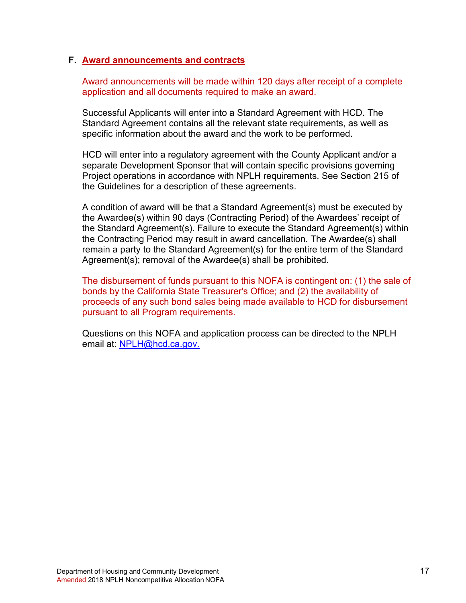#### <span id="page-21-0"></span>**F. Award announcements and contracts**

Award announcements will be made within 120 days after receipt of a complete application and all documents required to make an award.

Successful Applicants will enter into a Standard Agreement with HCD. The Standard Agreement contains all the relevant state requirements, as well as specific information about the award and the work to be performed.

HCD will enter into a regulatory agreement with the County Applicant and/or a separate Development Sponsor that will contain specific provisions governing Project operations in accordance with NPLH requirements. See Section 215 of the Guidelines for a description of these agreements.

A condition of award will be that a Standard Agreement(s) must be executed by the Awardee(s) within 90 days (Contracting Period) of the Awardees' receipt of the Standard Agreement(s). Failure to execute the Standard Agreement(s) within the Contracting Period may result in award cancellation. The Awardee(s) shall remain a party to the Standard Agreement(s) for the entire term of the Standard Agreement(s); removal of the Awardee(s) shall be prohibited.

The disbursement of funds pursuant to this NOFA is contingent on: (1) the sale of bonds by the California State Treasurer's Office; and (2) the availability of proceeds of any such bond sales being made available to HCD for disbursement pursuant to all Program requirements.

Questions on this NOFA and application process can be directed to the NPLH email at: [NPLH@hcd.ca.gov.](mailto:NPLH@hcd.ca.gov)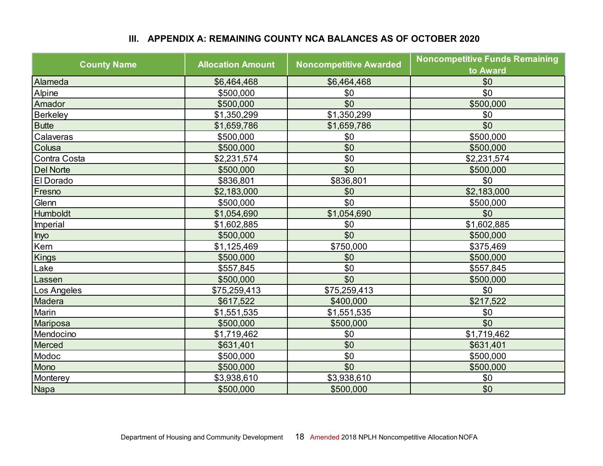# **III. APPENDIX A: REMAINING COUNTY NCA BALANCES AS OF OCTOBER 2020**

<span id="page-22-0"></span>

| <b>County Name</b> | <b>Allocation Amount</b> | <b>Noncompetitive Awarded</b> | <b>Noncompetitive Funds Remaining</b><br>to Award |
|--------------------|--------------------------|-------------------------------|---------------------------------------------------|
| Alameda            | \$6,464,468              | \$6,464,468                   | \$0                                               |
| Alpine             | \$500,000                | \$0                           | \$0                                               |
| Amador             | \$500,000                | \$0                           | \$500,000                                         |
| Berkeley           | \$1,350,299              | \$1,350,299                   | \$0                                               |
| <b>Butte</b>       | \$1,659,786              | \$1,659,786                   | \$0                                               |
| Calaveras          | \$500,000                | \$0                           | \$500,000                                         |
| Colusa             | \$500,000                | \$0                           | \$500,000                                         |
| Contra Costa       | \$2,231,574              | \$0                           | \$2,231,574                                       |
| <b>Del Norte</b>   | \$500,000                | \$0                           | \$500,000                                         |
| El Dorado          | \$836,801                | \$836,801                     | \$0                                               |
| Fresno             | \$2,183,000              | \$0                           | \$2,183,000                                       |
| Glenn              | \$500,000                | \$0                           | \$500,000                                         |
| Humboldt           | \$1,054,690              | \$1,054,690                   | \$0                                               |
| Imperial           | \$1,602,885              | \$0                           | \$1,602,885                                       |
| Inyo               | \$500,000                | \$0                           | \$500,000                                         |
| Kern               | \$1,125,469              | \$750,000                     | \$375,469                                         |
| <b>Kings</b>       | \$500,000                | \$0                           | \$500,000                                         |
| Lake               | \$557,845                | \$0                           | \$557,845                                         |
| Lassen             | \$500,000                | \$0                           | \$500,000                                         |
| Los Angeles        | \$75,259,413             | \$75,259,413                  | \$0                                               |
| Madera             | \$617,522                | \$400,000                     | \$217,522                                         |
| Marin              | \$1,551,535              | \$1,551,535                   | \$0                                               |
| Mariposa           | \$500,000                | \$500,000                     | \$0                                               |
| Mendocino          | \$1,719,462              | \$0                           | \$1,719,462                                       |
| Merced             | \$631,401                | \$0                           | \$631,401                                         |
| Modoc              | \$500,000                | \$0                           | \$500,000                                         |
| Mono               | \$500,000                | \$0                           | \$500,000                                         |
| Monterey           | \$3,938,610              | \$3,938,610                   | \$0                                               |
| Napa               | \$500,000                | \$500,000                     | \$0                                               |